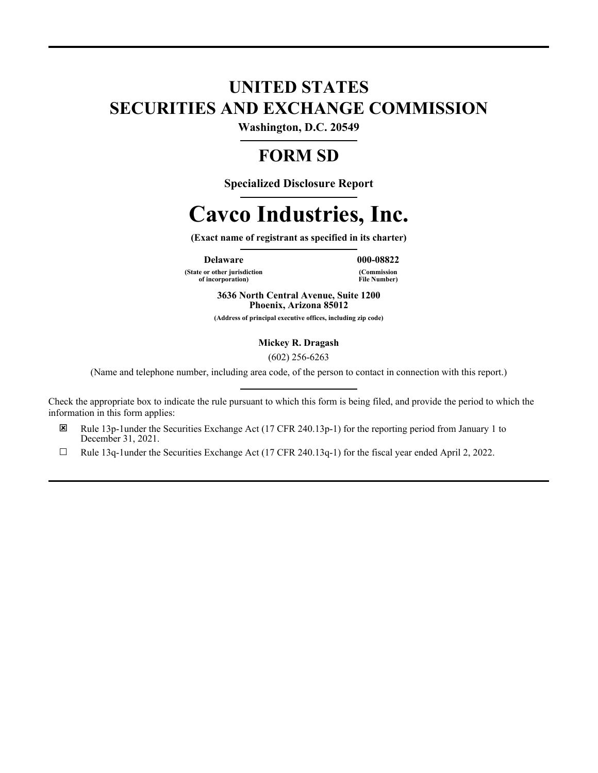# **UNITED STATES SECURITIES AND EXCHANGE COMMISSION**

**Washington, D.C. 20549**

# **FORM SD**

**Specialized Disclosure Report**

# **Cavco Industries, Inc.**

**(Exact name of registrant as specified in its charter)**

**Delaware 000-08822**

**(State or other jurisdiction of incorporation)**

**(Commission File Number)**

**3636 North Central Avenue, Suite 1200 Phoenix, Arizona 85012**

**(Address of principal executive offices, including zip code)**

**Mickey R. Dragash**

(602) 256-6263

(Name and telephone number, including area code, of the person to contact in connection with this report.)

Check the appropriate box to indicate the rule pursuant to which this form is being filed, and provide the period to which the information in this form applies:

- E Rule 13p-1under the Securities Exchange Act (17 CFR 240.13p-1) for the reporting period from January 1 to December 31, 2021.
- $\Box$  Rule 13q-1under the Securities Exchange Act (17 CFR 240.13q-1) for the fiscal year ended April 2, 2022.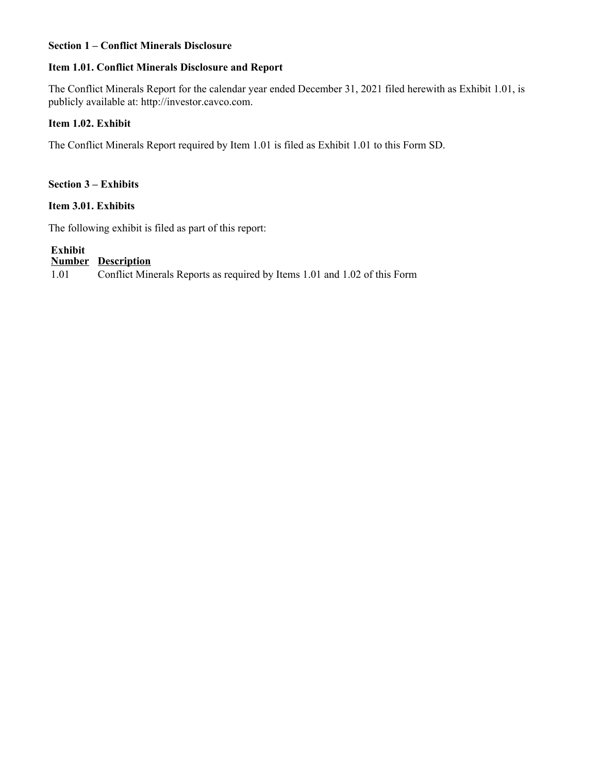## **Section 1 – Conflict Minerals Disclosure**

### **Item 1.01. Conflict Minerals Disclosure and Report**

The Conflict Minerals Report for the calendar year ended December 31, 2021 filed herewith as Exhibit 1.01, is publicly available at: http://investor.cavco.com.

## **Item 1.02. Exhibit**

The Conflict Minerals Report required by Item 1.01 is filed as Exhibit 1.01 to this Form SD.

### **Section 3 – Exhibits**

#### **Item 3.01. Exhibits**

The following exhibit is filed as part of this report:

# **Exhibit**

#### **Number Description**

1.01 Conflict Minerals Reports as required by Items 1.01 and 1.02 of this Form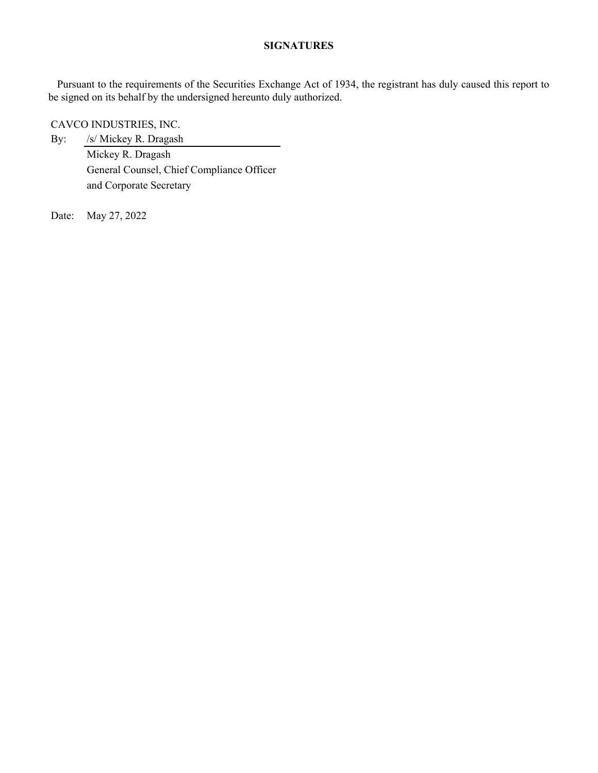# **SIGNATURES**

Pursuant to the requirements of the Securities Exchange Act of 1934, the registrant has duly caused this report to be signed on its behalf by the undersigned hereunto duly authorized.

CAVCO INDUSTRIES, INC.

By: /s/ Mickey R. Dragash Mickey R. Dragash General Counsel, Chief Compliance Officer and Corporate Secretary

Date: May 27, 2022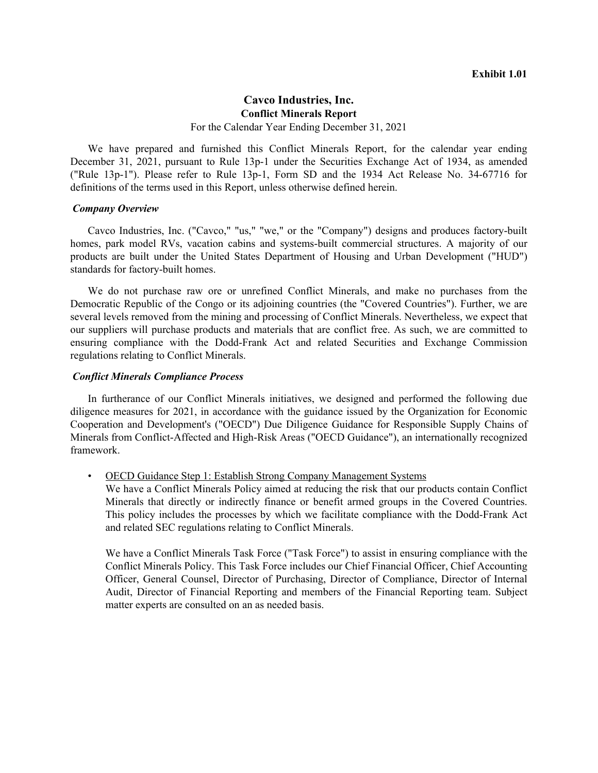#### **Cavco Industries, Inc. Conflict Minerals Report** For the Calendar Year Ending December 31, 2021

We have prepared and furnished this Conflict Minerals Report, for the calendar year ending December 31, 2021, pursuant to Rule 13p-1 under the Securities Exchange Act of 1934, as amended ("Rule 13p-1"). Please refer to Rule 13p-1, Form SD and the 1934 Act Release No. 34-67716 for definitions of the terms used in this Report, unless otherwise defined herein.

#### *Company Overview*

Cavco Industries, Inc. ("Cavco," "us," "we," or the "Company") designs and produces factory-built homes, park model RVs, vacation cabins and systems-built commercial structures. A majority of our products are built under the United States Department of Housing and Urban Development ("HUD") standards for factory-built homes.

We do not purchase raw ore or unrefined Conflict Minerals, and make no purchases from the Democratic Republic of the Congo or its adjoining countries (the "Covered Countries"). Further, we are several levels removed from the mining and processing of Conflict Minerals. Nevertheless, we expect that our suppliers will purchase products and materials that are conflict free. As such, we are committed to ensuring compliance with the Dodd-Frank Act and related Securities and Exchange Commission regulations relating to Conflict Minerals.

#### *Conflict Minerals Compliance Process*

In furtherance of our Conflict Minerals initiatives, we designed and performed the following due diligence measures for 2021, in accordance with the guidance issued by the Organization for Economic Cooperation and Development's ("OECD") Due Diligence Guidance for Responsible Supply Chains of Minerals from Conflict-Affected and High-Risk Areas ("OECD Guidance"), an internationally recognized framework.

• OECD Guidance Step 1: Establish Strong Company Management Systems

We have a Conflict Minerals Policy aimed at reducing the risk that our products contain Conflict Minerals that directly or indirectly finance or benefit armed groups in the Covered Countries. This policy includes the processes by which we facilitate compliance with the Dodd-Frank Act and related SEC regulations relating to Conflict Minerals.

We have a Conflict Minerals Task Force ("Task Force") to assist in ensuring compliance with the Conflict Minerals Policy. This Task Force includes our Chief Financial Officer, Chief Accounting Officer, General Counsel, Director of Purchasing, Director of Compliance, Director of Internal Audit, Director of Financial Reporting and members of the Financial Reporting team. Subject matter experts are consulted on an as needed basis.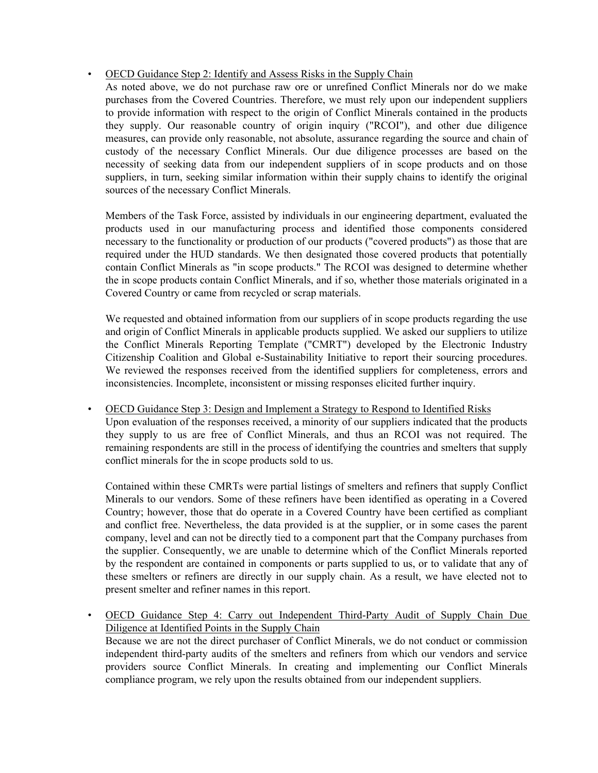# • OECD Guidance Step 2: Identify and Assess Risks in the Supply Chain

As noted above, we do not purchase raw ore or unrefined Conflict Minerals nor do we make purchases from the Covered Countries. Therefore, we must rely upon our independent suppliers to provide information with respect to the origin of Conflict Minerals contained in the products they supply. Our reasonable country of origin inquiry ("RCOI"), and other due diligence measures, can provide only reasonable, not absolute, assurance regarding the source and chain of custody of the necessary Conflict Minerals. Our due diligence processes are based on the necessity of seeking data from our independent suppliers of in scope products and on those suppliers, in turn, seeking similar information within their supply chains to identify the original sources of the necessary Conflict Minerals.

Members of the Task Force, assisted by individuals in our engineering department, evaluated the products used in our manufacturing process and identified those components considered necessary to the functionality or production of our products ("covered products") as those that are required under the HUD standards. We then designated those covered products that potentially contain Conflict Minerals as "in scope products." The RCOI was designed to determine whether the in scope products contain Conflict Minerals, and if so, whether those materials originated in a Covered Country or came from recycled or scrap materials.

We requested and obtained information from our suppliers of in scope products regarding the use and origin of Conflict Minerals in applicable products supplied. We asked our suppliers to utilize the Conflict Minerals Reporting Template ("CMRT") developed by the Electronic Industry Citizenship Coalition and Global e-Sustainability Initiative to report their sourcing procedures. We reviewed the responses received from the identified suppliers for completeness, errors and inconsistencies. Incomplete, inconsistent or missing responses elicited further inquiry.

# • OECD Guidance Step 3: Design and Implement a Strategy to Respond to Identified Risks

Upon evaluation of the responses received, a minority of our suppliers indicated that the products they supply to us are free of Conflict Minerals, and thus an RCOI was not required. The remaining respondents are still in the process of identifying the countries and smelters that supply conflict minerals for the in scope products sold to us.

Contained within these CMRTs were partial listings of smelters and refiners that supply Conflict Minerals to our vendors. Some of these refiners have been identified as operating in a Covered Country; however, those that do operate in a Covered Country have been certified as compliant and conflict free. Nevertheless, the data provided is at the supplier, or in some cases the parent company, level and can not be directly tied to a component part that the Company purchases from the supplier. Consequently, we are unable to determine which of the Conflict Minerals reported by the respondent are contained in components or parts supplied to us, or to validate that any of these smelters or refiners are directly in our supply chain. As a result, we have elected not to present smelter and refiner names in this report.

• OECD Guidance Step 4: Carry out Independent Third-Party Audit of Supply Chain Due Diligence at Identified Points in the Supply Chain Because we are not the direct purchaser of Conflict Minerals, we do not conduct or commission independent third-party audits of the smelters and refiners from which our vendors and service providers source Conflict Minerals. In creating and implementing our Conflict Minerals compliance program, we rely upon the results obtained from our independent suppliers.